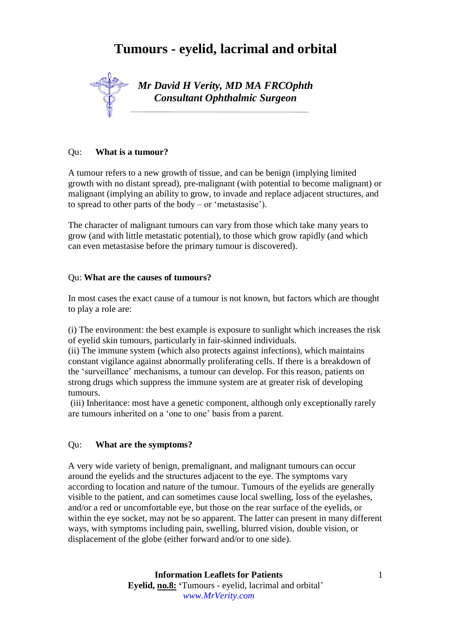# **Tumours - eyelid, lacrimal and orbital**



### Qu: **What is a tumour?**

A tumour refers to a new growth of tissue, and can be benign (implying limited growth with no distant spread), pre-malignant (with potential to become malignant) or malignant (implying an ability to grow, to invade and replace adjacent structures, and to spread to other parts of the body – or 'metastasise').

The character of malignant tumours can vary from those which take many years to grow (and with little metastatic potential), to those which grow rapidly (and which can even metastasise before the primary tumour is discovered).

## Qu: **What are the causes of tumours?**

In most cases the exact cause of a tumour is not known, but factors which are thought to play a role are:

(i) The environment: the best example is exposure to sunlight which increases the risk of eyelid skin tumours, particularly in fair-skinned individuals.

(ii) The immune system (which also protects against infections), which maintains constant vigilance against abnormally proliferating cells. If there is a breakdown of the 'surveillance' mechanisms, a tumour can develop. For this reason, patients on strong drugs which suppress the immune system are at greater risk of developing tumours.

(iii) Inheritance: most have a genetic component, although only exceptionally rarely are tumours inherited on a 'one to one' basis from a parent.

#### Qu: **What are the symptoms?**

A very wide variety of benign, premalignant, and malignant tumours can occur around the eyelids and the structures adjacent to the eye. The symptoms vary according to location and nature of the tumour. Tumours of the eyelids are generally visible to the patient, and can sometimes cause local swelling, loss of the eyelashes, and/or a red or uncomfortable eye, but those on the rear surface of the eyelids, or within the eye socket, may not be so apparent. The latter can present in many different ways, with symptoms including pain, swelling, blurred vision, double vision, or displacement of the globe (either forward and/or to one side).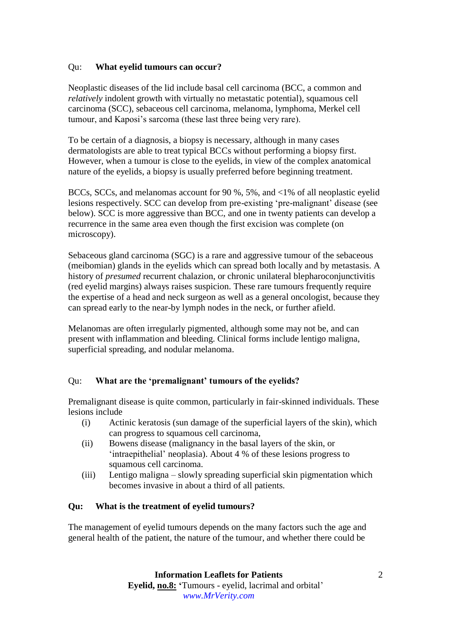#### Qu: **What eyelid tumours can occur?**

Neoplastic diseases of the lid include basal cell carcinoma (BCC, a common and *relatively* indolent growth with virtually no metastatic potential), squamous cell carcinoma (SCC), sebaceous cell carcinoma, melanoma, lymphoma, Merkel cell tumour, and Kaposi's sarcoma (these last three being very rare).

To be certain of a diagnosis, a biopsy is necessary, although in many cases dermatologists are able to treat typical BCCs without performing a biopsy first. However, when a tumour is close to the eyelids, in view of the complex anatomical nature of the eyelids, a biopsy is usually preferred before beginning treatment.

BCCs, SCCs, and melanomas account for 90 %, 5%, and <1% of all neoplastic eyelid lesions respectively. SCC can develop from pre-existing 'pre-malignant' disease (see below). SCC is more aggressive than BCC, and one in twenty patients can develop a recurrence in the same area even though the first excision was complete (on microscopy).

Sebaceous gland carcinoma (SGC) is a rare and aggressive tumour of the sebaceous (meibomian) glands in the eyelids which can spread both locally and by metastasis. A history of *presumed* recurrent chalazion, or chronic unilateral blepharoconjunctivitis (red eyelid margins) always raises suspicion. These rare tumours frequently require the expertise of a head and neck surgeon as well as a general oncologist, because they can spread early to the near-by lymph nodes in the neck, or further afield.

Melanomas are often irregularly pigmented, although some may not be, and can present with inflammation and bleeding. Clinical forms include lentigo maligna, superficial spreading, and nodular melanoma.

## Qu: **What are the 'premalignant' tumours of the eyelids?**

Premalignant disease is quite common, particularly in fair-skinned individuals. These lesions include

- (i) Actinic keratosis (sun damage of the superficial layers of the skin), which can progress to squamous cell carcinoma,
- (ii) Bowens disease (malignancy in the basal layers of the skin, or 'intraepithelial' neoplasia). About 4 % of these lesions progress to squamous cell carcinoma.
- (iii) Lentigo maligna slowly spreading superficial skin pigmentation which becomes invasive in about a third of all patients.

#### **Qu: What is the treatment of eyelid tumours?**

The management of eyelid tumours depends on the many factors such the age and general health of the patient, the nature of the tumour, and whether there could be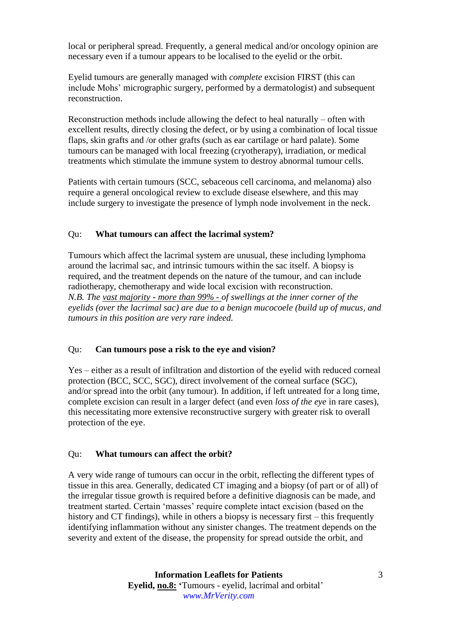local or peripheral spread. Frequently, a general medical and/or oncology opinion are necessary even if a tumour appears to be localised to the eyelid or the orbit.

Eyelid tumours are generally managed with *complete* excision FIRST (this can include Mohs' micrographic surgery, performed by a dermatologist) and subsequent reconstruction.

Reconstruction methods include allowing the defect to heal naturally – often with excellent results, directly closing the defect, or by using a combination of local tissue flaps, skin grafts and /or other grafts (such as ear cartilage or hard palate). Some tumours can be managed with local freezing (cryotherapy), irradiation, or medical treatments which stimulate the immune system to destroy abnormal tumour cells.

Patients with certain tumours (SCC, sebaceous cell carcinoma, and melanoma) also require a general oncological review to exclude disease elsewhere, and this may include surgery to investigate the presence of lymph node involvement in the neck.

## Qu: **What tumours can affect the lacrimal system?**

Tumours which affect the lacrimal system are unusual, these including lymphoma around the lacrimal sac, and intrinsic tumours within the sac itself. A biopsy is required, and the treatment depends on the nature of the tumour, and can include radiotherapy, chemotherapy and wide local excision with reconstruction. *N.B. The vast majority - more than 99% - of swellings at the inner corner of the eyelids (over the lacrimal sac) are due to a benign mucocoele (build up of mucus, and tumours in this position are very rare indeed.*

## Qu: **Can tumours pose a risk to the eye and vision?**

Yes – either as a result of infiltration and distortion of the eyelid with reduced corneal protection (BCC, SCC, SGC), direct involvement of the corneal surface (SGC), and/or spread into the orbit (any tumour). In addition, if left untreated for a long time, complete excision can result in a larger defect (and even *loss of the eye* in rare cases), this necessitating more extensive reconstructive surgery with greater risk to overall protection of the eye.

## Qu: **What tumours can affect the orbit?**

A very wide range of tumours can occur in the orbit, reflecting the different types of tissue in this area. Generally, dedicated CT imaging and a biopsy (of part or of all) of the irregular tissue growth is required before a definitive diagnosis can be made, and treatment started. Certain 'masses' require complete intact excision (based on the history and CT findings), while in others a biopsy is necessary first – this frequently identifying inflammation without any sinister changes. The treatment depends on the severity and extent of the disease, the propensity for spread outside the orbit, and